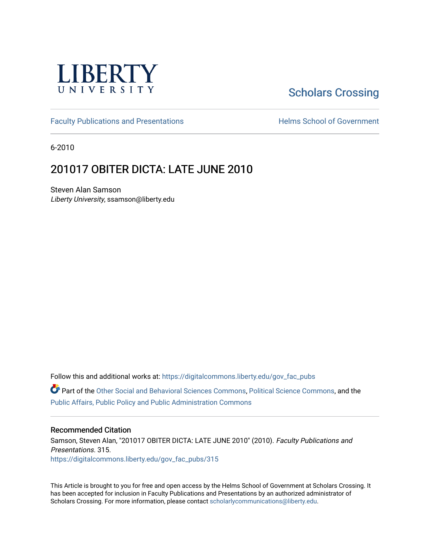

# [Scholars Crossing](https://digitalcommons.liberty.edu/)

[Faculty Publications and Presentations](https://digitalcommons.liberty.edu/gov_fac_pubs) **Exercise School of Government** 

6-2010

# 201017 OBITER DICTA: LATE JUNE 2010

Steven Alan Samson Liberty University, ssamson@liberty.edu

Follow this and additional works at: [https://digitalcommons.liberty.edu/gov\\_fac\\_pubs](https://digitalcommons.liberty.edu/gov_fac_pubs?utm_source=digitalcommons.liberty.edu%2Fgov_fac_pubs%2F315&utm_medium=PDF&utm_campaign=PDFCoverPages)

Part of the [Other Social and Behavioral Sciences Commons](http://network.bepress.com/hgg/discipline/437?utm_source=digitalcommons.liberty.edu%2Fgov_fac_pubs%2F315&utm_medium=PDF&utm_campaign=PDFCoverPages), [Political Science Commons](http://network.bepress.com/hgg/discipline/386?utm_source=digitalcommons.liberty.edu%2Fgov_fac_pubs%2F315&utm_medium=PDF&utm_campaign=PDFCoverPages), and the [Public Affairs, Public Policy and Public Administration Commons](http://network.bepress.com/hgg/discipline/393?utm_source=digitalcommons.liberty.edu%2Fgov_fac_pubs%2F315&utm_medium=PDF&utm_campaign=PDFCoverPages)

### Recommended Citation

Samson, Steven Alan, "201017 OBITER DICTA: LATE JUNE 2010" (2010). Faculty Publications and Presentations. 315. [https://digitalcommons.liberty.edu/gov\\_fac\\_pubs/315](https://digitalcommons.liberty.edu/gov_fac_pubs/315?utm_source=digitalcommons.liberty.edu%2Fgov_fac_pubs%2F315&utm_medium=PDF&utm_campaign=PDFCoverPages)

This Article is brought to you for free and open access by the Helms School of Government at Scholars Crossing. It has been accepted for inclusion in Faculty Publications and Presentations by an authorized administrator of Scholars Crossing. For more information, please contact [scholarlycommunications@liberty.edu.](mailto:scholarlycommunications@liberty.edu)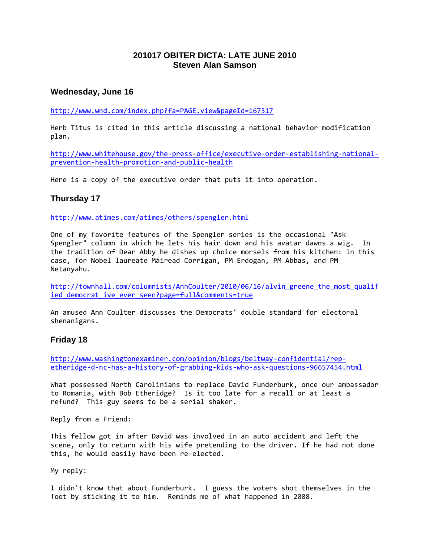# **201017 OBITER DICTA: LATE JUNE 2010 Steven Alan Samson**

## **Wednesday, June 16**

<http://www.wnd.com/index.php?fa=PAGE.view&pageId=167317>

Herb Titus is cited in this article discussing a national behavior modification plan.

[http://www.whitehouse.gov/the-press-office/executive-order-establishing-national](http://www.whitehouse.gov/the-press-office/executive-order-establishing-national-prevention-health-promotion-and-public-health)[prevention-health-promotion-and-public-health](http://www.whitehouse.gov/the-press-office/executive-order-establishing-national-prevention-health-promotion-and-public-health)

Here is a copy of the executive order that puts it into operation.

# **Thursday 17**

<http://www.atimes.com/atimes/others/spengler.html>

One of my favorite features of the Spengler series is the occasional "Ask Spengler" column in which he lets his hair down and his avatar dawns a wig. In the tradition of Dear Abby he dishes up choice morsels from his kitchen: in this case, for Nobel laureate Máiread Corrigan, PM Erdogan, PM Abbas, and PM Netanyahu.

[http://townhall.com/columnists/AnnCoulter/2010/06/16/alvin\\_greene\\_the\\_most\\_qualif](http://townhall.com/columnists/AnnCoulter/2010/06/16/alvin_greene_the_most_qualified_democrat_ive_ever_seen?page=full&comments=true) [ied\\_democrat\\_ive\\_ever\\_seen?page=full&comments=true](http://townhall.com/columnists/AnnCoulter/2010/06/16/alvin_greene_the_most_qualified_democrat_ive_ever_seen?page=full&comments=true)

An amused Ann Coulter discusses the Democrats' double standard for electoral shenanigans.

# **Friday 18**

[http://www.washingtonexaminer.com/opinion/blogs/beltway-confidential/rep](http://www.washingtonexaminer.com/opinion/blogs/beltway-confidential/rep-etheridge-d-nc-has-a-history-of-grabbing-kids-who-ask-questions-96657454.html)[etheridge-d-nc-has-a-history-of-grabbing-kids-who-ask-questions-96657454.html](http://www.washingtonexaminer.com/opinion/blogs/beltway-confidential/rep-etheridge-d-nc-has-a-history-of-grabbing-kids-who-ask-questions-96657454.html)

What possessed North Carolinians to replace David Funderburk, once our ambassador to Romania, with Bob Etheridge? Is it too late for a recall or at least a refund? This guy seems to be a serial shaker.

Reply from a Friend:

This fellow got in after David was involved in an auto accident and left the scene, only to return with his wife pretending to the driver. If he had not done this, he would easily have been re-elected.

My reply:

I didn't know that about Funderburk. I guess the voters shot themselves in the foot by sticking it to him. Reminds me of what happened in 2008.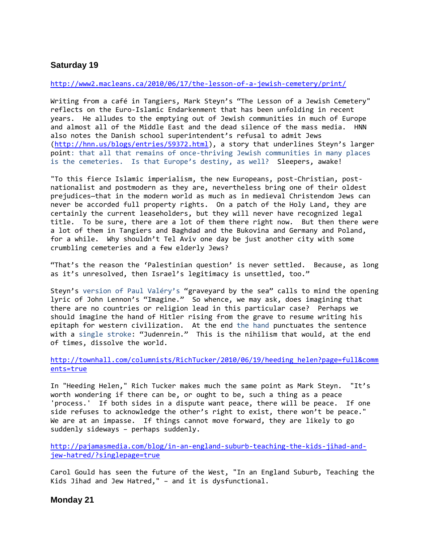## **Saturday 19**

#### <http://www2.macleans.ca/2010/06/17/the-lesson-of-a-jewish-cemetery/print/>

Writing from a café in Tangiers, Mark Steyn's "The Lesson of a Jewish Cemetery" reflects on the Euro-Islamic Endarkenment that has been unfolding in recent years. He alludes to the emptying out of Jewish communities in much of Europe and almost all of the Middle East and the dead silence of the mass media. HNN also notes the Danish school superintendent's refusal to admit Jews [\(http://hnn.us/blogs/entries/59372.html\)](http://hnn.us/blogs/entries/59372.html), a story that underlines Steyn's larger point: that all that remains of once-thriving Jewish communities in many places is the cemeteries. Is that Europe's destiny, as well? Sleepers, awake!

"To this fierce Islamic imperialism, the new Europeans, post-Christian, postnationalist and postmodern as they are, nevertheless bring one of their oldest prejudices—that in the modern world as much as in medieval Christendom Jews can never be accorded full property rights. On a patch of the Holy Land, they are certainly the current leaseholders, but they will never have recognized legal title. To be sure, there are a lot of them there right now. But then there were a lot of them in Tangiers and Baghdad and the Bukovina and Germany and Poland, for a while. Why shouldn't Tel Aviv one day be just another city with some crumbling cemeteries and a few elderly Jews?

"That's the reason the 'Palestinian question' is never settled. Because, as long as it's unresolved, then Israel's legitimacy is unsettled, too."

Steyn's version of Paul Valéry's "graveyard by the sea" calls to mind the opening lyric of John Lennon's "Imagine." So whence, we may ask, does imagining that there are no countries or religion lead in this particular case? Perhaps we should imagine the hand of Hitler rising from the grave to resume writing his epitaph for western civilization. At the end the hand punctuates the sentence with a single stroke: "Judenrein." This is the nihilism that would, at the end of times, dissolve the world.

### [http://townhall.com/columnists/RichTucker/2010/06/19/heeding\\_helen?page=full&comm](http://townhall.com/columnists/RichTucker/2010/06/19/heeding_helen?page=full&comments=true) [ents=true](http://townhall.com/columnists/RichTucker/2010/06/19/heeding_helen?page=full&comments=true)

In "Heeding Helen," Rich Tucker makes much the same point as Mark Steyn. "It's worth wondering if there can be, or ought to be, such a thing as a peace 'process.' If both sides in a dispute want peace, there will be peace. If one side refuses to acknowledge the other's right to exist, there won't be peace." We are at an impasse. If things cannot move forward, they are likely to go suddenly sideways – perhaps suddenly.

[http://pajamasmedia.com/blog/in-an-england-suburb-teaching-the-kids-jihad-and](http://pajamasmedia.com/blog/in-an-england-suburb-teaching-the-kids-jihad-and-jew-hatred/?singlepage=true)[jew-hatred/?singlepage=true](http://pajamasmedia.com/blog/in-an-england-suburb-teaching-the-kids-jihad-and-jew-hatred/?singlepage=true)

Carol Gould has seen the future of the West, "In an England Suburb, Teaching the Kids Jihad and Jew Hatred," – and it is dysfunctional.

**Monday 21**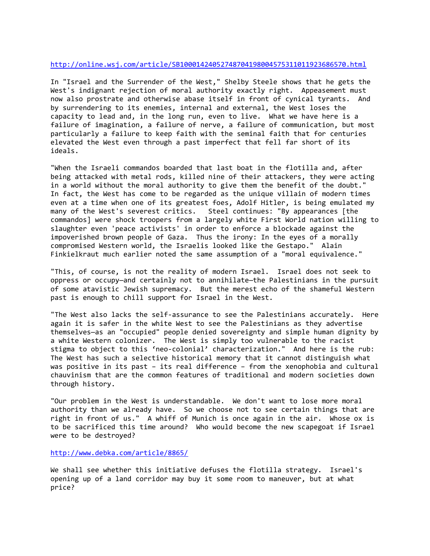#### <http://online.wsj.com/article/SB10001424052748704198004575311011923686570.html>

In "Israel and the Surrender of the West," Shelby Steele shows that he gets the West's indignant rejection of moral authority exactly right. Appeasement must now also prostrate and otherwise abase itself in front of cynical tyrants. And by surrendering to its enemies, internal and external, the West loses the capacity to lead and, in the long run, even to live. What we have here is a failure of imagination, a failure of nerve, a failure of communication, but most particularly a failure to keep faith with the seminal faith that for centuries elevated the West even through a past imperfect that fell far short of its ideals.

"When the Israeli commandos boarded that last boat in the flotilla and, after being attacked with metal rods, killed nine of their attackers, they were acting in a world without the moral authority to give them the benefit of the doubt." In fact, the West has come to be regarded as the unique villain of modern times even at a time when one of its greatest foes, Adolf Hitler, is being emulated my many of the West's severest critics. Steel continues: "By appearances [the commandos] were shock troopers from a largely white First World nation willing to slaughter even 'peace activists' in order to enforce a blockade against the impoverished brown people of Gaza. Thus the irony: In the eyes of a morally compromised Western world, the Israelis looked like the Gestapo." Alain Finkielkraut much earlier noted the same assumption of a "moral equivalence."

"This, of course, is not the reality of modern Israel. Israel does not seek to oppress or occupy—and certainly not to annihilate—the Palestinians in the pursuit of some atavistic Jewish supremacy. But the merest echo of the shameful Western past is enough to chill support for Israel in the West.

"The West also lacks the self-assurance to see the Palestinians accurately. Here again it is safer in the white West to see the Palestinians as they advertise themselves—as an "occupied" people denied sovereignty and simple human dignity by a white Western colonizer. The West is simply too vulnerable to the racist stigma to object to this 'neo-colonial' characterization." And here is the rub: The West has such a selective historical memory that it cannot distinguish what was positive in its past – its real difference – from the xenophobia and cultural chauvinism that are the common features of traditional and modern societies down through history.

"Our problem in the West is understandable. We don't want to lose more moral authority than we already have. So we choose not to see certain things that are right in front of us." A whiff of Munich is once again in the air. Whose ox is to be sacrificed this time around? Who would become the new scapegoat if Israel were to be destroyed?

<http://www.debka.com/article/8865/>

We shall see whether this initiative defuses the flotilla strategy. Israel's opening up of a land corridor may buy it some room to maneuver, but at what price?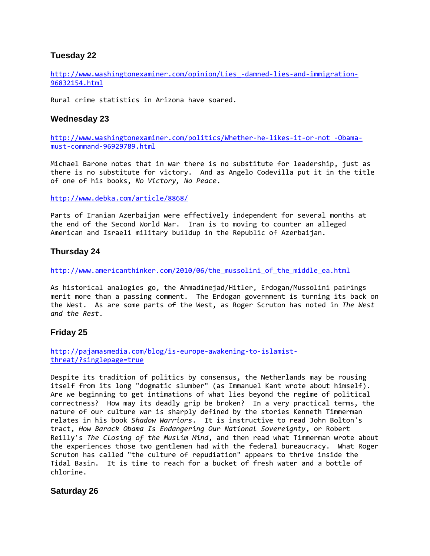# **Tuesday 22**

[http://www.washingtonexaminer.com/opinion/Lies\\_-damned-lies-and-immigration-](http://www.washingtonexaminer.com/opinion/Lies_-damned-lies-and-immigration-96832154.html)[96832154.html](http://www.washingtonexaminer.com/opinion/Lies_-damned-lies-and-immigration-96832154.html)

Rural crime statistics in Arizona have soared.

## **Wednesday 23**

[http://www.washingtonexaminer.com/politics/Whether-he-likes-it-or-not\\_-Obama](http://www.washingtonexaminer.com/politics/Whether-he-likes-it-or-not_-Obama-must-command-96929789.html)[must-command-96929789.html](http://www.washingtonexaminer.com/politics/Whether-he-likes-it-or-not_-Obama-must-command-96929789.html)

Michael Barone notes that in war there is no substitute for leadership, just as there is no substitute for victory. And as Angelo Codevilla put it in the title of one of his books, *No Victory, No Peace*.

<http://www.debka.com/article/8868/>

Parts of Iranian Azerbaijan were effectively independent for several months at the end of the Second World War. Iran is to moving to counter an alleged American and Israeli military buildup in the Republic of Azerbaijan.

## **Thursday 24**

[http://www.americanthinker.com/2010/06/the\\_mussolini\\_of\\_the\\_middle\\_ea.html](http://www.americanthinker.com/2010/06/the_mussolini_of_the_middle_ea.html)

As historical analogies go, the Ahmadinejad/Hitler, Erdogan/Mussolini pairings merit more than a passing comment. The Erdogan government is turning its back on the West. As are some parts of the West, as Roger Scruton has noted in *The West and the Rest*.

## **Friday 25**

[http://pajamasmedia.com/blog/is-europe-awakening-to-islamist](http://pajamasmedia.com/blog/is-europe-awakening-to-islamist-threat/?singlepage=true)[threat/?singlepage=true](http://pajamasmedia.com/blog/is-europe-awakening-to-islamist-threat/?singlepage=true)

Despite its tradition of politics by consensus, the Netherlands may be rousing itself from its long "dogmatic slumber" (as Immanuel Kant wrote about himself). Are we beginning to get intimations of what lies beyond the regime of political correctness? How may its deadly grip be broken? In a very practical terms, the nature of our culture war is sharply defined by the stories Kenneth Timmerman relates in his book *Shadow Warriors*. It is instructive to read John Bolton's tract, *How Barack Obama Is Endangering Our National Sovereignty*, or Robert Reilly's *The Closing of the Muslim Mind*, and then read what Timmerman wrote about the experiences those two gentlemen had with the federal bureaucracy. What Roger Scruton has called "the culture of repudiation" appears to thrive inside the Tidal Basin. It is time to reach for a bucket of fresh water and a bottle of chlorine.

**Saturday 26**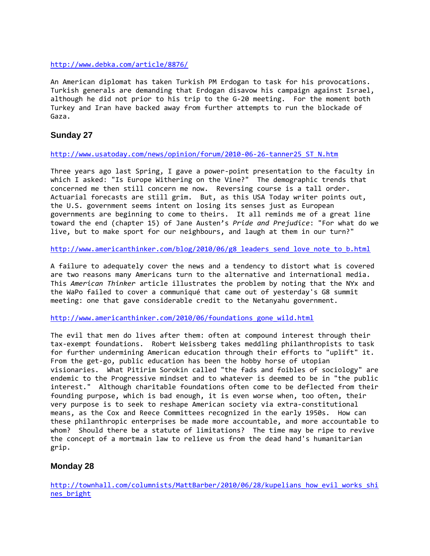<http://www.debka.com/article/8876/>

An American diplomat has taken Turkish PM Erdogan to task for his provocations. Turkish generals are demanding that Erdogan disavow his campaign against Israel, although he did not prior to his trip to the G-20 meeting. For the moment both Turkey and Iran have backed away from further attempts to run the blockade of Gaza.

# **Sunday 27**

[http://www.usatoday.com/news/opinion/forum/2010-06-26-tanner25\\_ST\\_N.htm](http://www.usatoday.com/news/opinion/forum/2010-06-26-tanner25_ST_N.htm)

Three years ago last Spring, I gave a power-point presentation to the faculty in which I asked: "Is Europe Withering on the Vine?" The demographic trends that concerned me then still concern me now. Reversing course is a tall order. Actuarial forecasts are still grim. But, as this USA Today writer points out, the U.S. government seems intent on losing its senses just as European governments are beginning to come to theirs. It all reminds me of a great line toward the end (chapter 15) of Jane Austen's *Pride and Prejudice*: "For what do we live, but to make sport for our neighbours, and laugh at them in our turn?"

[http://www.americanthinker.com/blog/2010/06/g8\\_leaders\\_send\\_love\\_note\\_to\\_b.html](http://www.americanthinker.com/blog/2010/06/g8_leaders_send_love_note_to_b.html)

A failure to adequately cover the news and a tendency to distort what is covered are two reasons many Americans turn to the alternative and international media. This *American Thinker* article illustrates the problem by noting that the NYx and the WaPo failed to cover a communiqué that came out of yesterday's G8 summit meeting: one that gave considerable credit to the Netanyahu government.

[http://www.americanthinker.com/2010/06/foundations\\_gone\\_wild.html](http://www.americanthinker.com/2010/06/foundations_gone_wild.html)

The evil that men do lives after them: often at compound interest through their tax-exempt foundations. Robert Weissberg takes meddling philanthropists to task for further undermining American education through their efforts to "uplift" it. From the get-go, public education has been the hobby horse of utopian visionaries. What Pitirim Sorokin called "the fads and foibles of sociology" are endemic to the Progressive mindset and to whatever is deemed to be in "the public interest." Although charitable foundations often come to be deflected from their founding purpose, which is bad enough, it is even worse when, too often, their very purpose is to seek to reshape American society via extra-constitutional means, as the Cox and Reece Committees recognized in the early 1950s. How can these philanthropic enterprises be made more accountable, and more accountable to whom? Should there be a statute of limitations? The time may be ripe to revive the concept of a mortmain law to relieve us from the dead hand's humanitarian grip.

# **Monday 28**

[http://townhall.com/columnists/MattBarber/2010/06/28/kupelians\\_how\\_evil\\_works\\_shi](http://townhall.com/columnists/MattBarber/2010/06/28/kupelians_how_evil_works_shines_bright) [nes\\_bright](http://townhall.com/columnists/MattBarber/2010/06/28/kupelians_how_evil_works_shines_bright)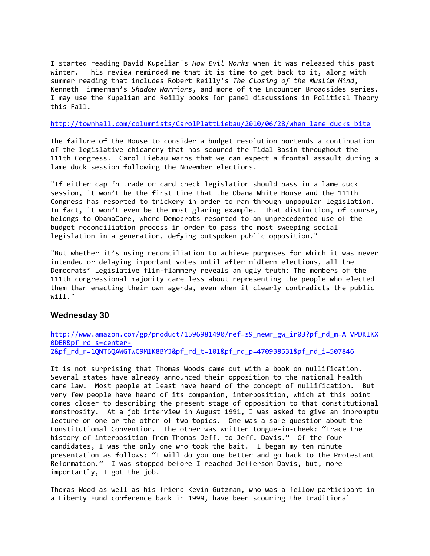I started reading David Kupelian's *How Evil Works* when it was released this past winter. This review reminded me that it is time to get back to it, along with summer reading that includes Robert Reilly's *The Closing of the Muslim Mind*, Kenneth Timmerman's *Shadow Warriors*, and more of the Encounter Broadsides series. I may use the Kupelian and Reilly books for panel discussions in Political Theory this Fall.

[http://townhall.com/columnists/CarolPlattLiebau/2010/06/28/when\\_lame\\_ducks\\_bite](http://townhall.com/columnists/CarolPlattLiebau/2010/06/28/when_lame_ducks_bite)

The failure of the House to consider a budget resolution portends a continuation of the legislative chicanery that has scoured the Tidal Basin throughout the 111th Congress. Carol Liebau warns that we can expect a frontal assault during a lame duck session following the November elections.

"If either cap 'n trade or card check legislation should pass in a lame duck session, it won't be the first time that the Obama White House and the 111th Congress has resorted to trickery in order to ram through unpopular legislation. In fact, it won't even be the most glaring example. That distinction, of course, belongs to ObamaCare, where Democrats resorted to an unprecedented use of the budget reconciliation process in order to pass the most sweeping social legislation in a generation, defying outspoken public opposition."

"But whether it's using reconciliation to achieve purposes for which it was never intended or delaying important votes until after midterm elections, all the Democrats' legislative flim-flammery reveals an ugly truth: The members of the 111th congressional majority care less about representing the people who elected them than enacting their own agenda, even when it clearly contradicts the public will."

## **Wednesday 30**

[http://www.amazon.com/gp/product/1596981490/ref=s9\\_newr\\_gw\\_ir03?pf\\_rd\\_m=ATVPDKIKX](http://www.amazon.com/gp/product/1596981490/ref=s9_newr_gw_ir03?pf_rd_m=ATVPDKIKX0DER&pf_rd_s=center-2&pf_rd_r=1QNT6QAWGTWC9M1K8BYJ&pf_rd_t=101&pf_rd_p=470938631&pf_rd_i=507846) [0DER&pf\\_rd\\_s=center-](http://www.amazon.com/gp/product/1596981490/ref=s9_newr_gw_ir03?pf_rd_m=ATVPDKIKX0DER&pf_rd_s=center-2&pf_rd_r=1QNT6QAWGTWC9M1K8BYJ&pf_rd_t=101&pf_rd_p=470938631&pf_rd_i=507846)[2&pf\\_rd\\_r=1QNT6QAWGTWC9M1K8BYJ&pf\\_rd\\_t=101&pf\\_rd\\_p=470938631&pf\\_rd\\_i=507846](http://www.amazon.com/gp/product/1596981490/ref=s9_newr_gw_ir03?pf_rd_m=ATVPDKIKX0DER&pf_rd_s=center-2&pf_rd_r=1QNT6QAWGTWC9M1K8BYJ&pf_rd_t=101&pf_rd_p=470938631&pf_rd_i=507846)

It is not surprising that Thomas Woods came out with a book on nullification. Several states have already announced their opposition to the national health care law. Most people at least have heard of the concept of nullification. But very few people have heard of its companion, interposition, which at this point comes closer to describing the present stage of opposition to that constitutional monstrosity. At a job interview in August 1991, I was asked to give an impromptu lecture on one or the other of two topics. One was a safe question about the Constitutional Convention. The other was written tongue-in-cheek: "Trace the history of interposition from Thomas Jeff. to Jeff. Davis." Of the four candidates, I was the only one who took the bait. I began my ten minute presentation as follows: "I will do you one better and go back to the Protestant Reformation." I was stopped before I reached Jefferson Davis, but, more importantly, I got the job.

Thomas Wood as well as his friend Kevin Gutzman, who was a fellow participant in a Liberty Fund conference back in 1999, have been scouring the traditional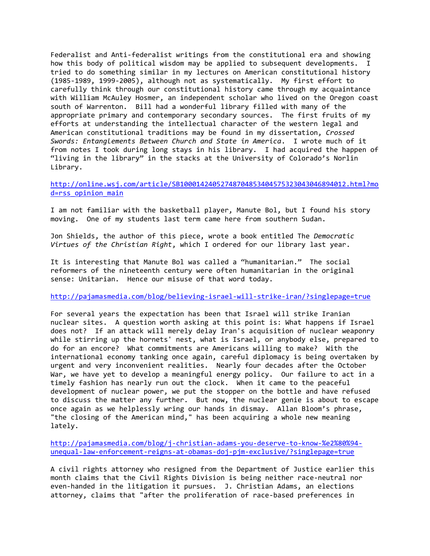Federalist and Anti-federalist writings from the constitutional era and showing how this body of political wisdom may be applied to subsequent developments. I tried to do something similar in my lectures on American constitutional history (1985-1989, 1999-2005), although not as systematically. My first effort to carefully think through our constitutional history came through my acquaintance with William McAuley Hosmer, an independent scholar who lived on the Oregon coast south of Warrenton. Bill had a wonderful library filled with many of the appropriate primary and contemporary secondary sources. The first fruits of my efforts at understanding the intellectual character of the western legal and American constitutional traditions may be found in my dissertation, *Crossed Swords: Entanglements Between Church and State in America*. I wrote much of it from notes I took during long stays in his library. I had acquired the happen of "living in the library" in the stacks at the University of Colorado's Norlin Library.

[http://online.wsj.com/article/SB10001424052748704853404575323043046894012.html?mo](http://online.wsj.com/article/SB10001424052748704853404575323043046894012.html?mod=rss_opinion_main) [d=rss\\_opinion\\_main](http://online.wsj.com/article/SB10001424052748704853404575323043046894012.html?mod=rss_opinion_main)

I am not familiar with the basketball player, Manute Bol, but I found his story moving. One of my students last term came here from southern Sudan.

Jon Shields, the author of this piece, wrote a book entitled The *Democratic Virtues of the Christian Right*, which I ordered for our library last year.

It is interesting that Manute Bol was called a "humanitarian." The social reformers of the nineteenth century were often humanitarian in the original sense: Unitarian. Hence our misuse of that word today.

<http://pajamasmedia.com/blog/believing-israel-will-strike-iran/?singlepage=true>

For several years the expectation has been that Israel will strike Iranian nuclear sites. A question worth asking at this point is: What happens if Israel does not? If an attack will merely delay Iran's acquisition of nuclear weaponry while stirring up the hornets' nest, what is Israel, or anybody else, prepared to do for an encore? What commitments are Americans willing to make? With the international economy tanking once again, careful diplomacy is being overtaken by urgent and very inconvenient realities. Nearly four decades after the October War, we have yet to develop a meaningful energy policy. Our failure to act in a timely fashion has nearly run out the clock. When it came to the peaceful development of nuclear power, we put the stopper on the bottle and have refused to discuss the matter any further. But now, the nuclear genie is about to escape once again as we helplessly wring our hands in dismay. Allan Bloom's phrase, "the closing of the American mind," has been acquiring a whole new meaning lately.

[http://pajamasmedia.com/blog/j-christian-adams-you-deserve-to-know-%e2%80%94](http://pajamasmedia.com/blog/j-christian-adams-you-deserve-to-know-%e2%80%94-unequal-law-enforcement-reigns-at-obamas-doj-pjm-exclusive/?singlepage=true) [unequal-law-enforcement-reigns-at-obamas-doj-pjm-exclusive/?singlepage=true](http://pajamasmedia.com/blog/j-christian-adams-you-deserve-to-know-%e2%80%94-unequal-law-enforcement-reigns-at-obamas-doj-pjm-exclusive/?singlepage=true)

A civil rights attorney who resigned from the Department of Justice earlier this month claims that the Civil Rights Division is being neither race-neutral nor even-handed in the litigation it pursues. J. Christian Adams, an elections attorney, claims that "after the proliferation of race-based preferences in